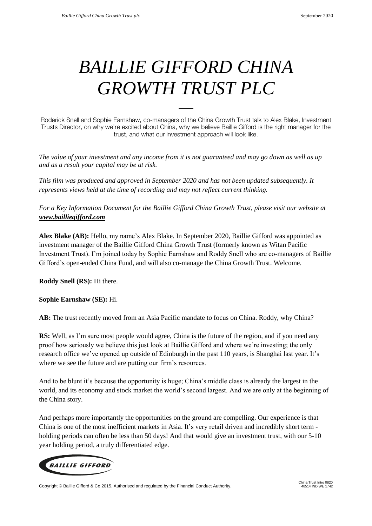## *BAILLIE GIFFORD CHINA GROWTH TRUST PLC*

Roderick Snell and Sophie Earnshaw, co-managers of the China Growth Trust talk to Alex Blake, Investment Trusts Director, on why we're excited about China, why we believe Baillie Gifford is the right manager for the trust, and what our investment approach will look like.

*The value of your investment and any income from it is not guaranteed and may go down as well as up and as a result your capital may be at risk.*

*This film was produced and approved in September 2020 and has not been updated subsequently. It represents views held at the time of recording and may not reflect current thinking.*

*For a Key Information Document for the Baillie Gifford China Growth Trust, please visit our website at [www.bailliegifford.com](http://www.bailliegifford.com/)*

**Alex Blake (AB):** Hello, my name's Alex Blake. In September 2020, Baillie Gifford was appointed as investment manager of the Baillie Gifford China Growth Trust (formerly known as Witan Pacific Investment Trust). I'm joined today by Sophie Earnshaw and Roddy Snell who are co-managers of Baillie Gifford's open-ended China Fund, and will also co-manage the China Growth Trust. Welcome.

**Roddy Snell (RS):** Hi there.

**Sophie Earnshaw (SE):** Hi.

**AB:** The trust recently moved from an Asia Pacific mandate to focus on China. Roddy, why China?

**RS:** Well, as I'm sure most people would agree, China is the future of the region, and if you need any proof how seriously we believe this just look at Baillie Gifford and where we're investing; the only research office we've opened up outside of Edinburgh in the past 110 years, is Shanghai last year. It's where we see the future and are putting our firm's resources.

And to be blunt it's because the opportunity is huge; China's middle class is already the largest in the world, and its economy and stock market the world's second largest. And we are only at the beginning of the China story.

And perhaps more importantly the opportunities on the ground are compelling. Our experience is that China is one of the most inefficient markets in Asia. It's very retail driven and incredibly short term holding periods can often be less than 50 days! And that would give an investment trust, with our 5-10 year holding period, a truly differentiated edge.



Copyright © Baillie Gifford & Co 2015. Authorised and regulated by the Financial Conduct Authority.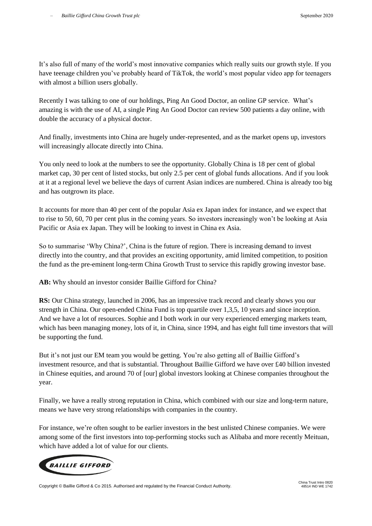It's also full of many of the world's most innovative companies which really suits our growth style. If you have teenage children you've probably heard of TikTok, the world's most popular video app for teenagers with almost a billion users globally.

Recently I was talking to one of our holdings, Ping An Good Doctor, an online GP service. What's amazing is with the use of AI, a single Ping An Good Doctor can review 500 patients a day online, with double the accuracy of a physical doctor.

And finally, investments into China are hugely under-represented, and as the market opens up, investors will increasingly allocate directly into China.

You only need to look at the numbers to see the opportunity. Globally China is 18 per cent of global market cap, 30 per cent of listed stocks, but only 2.5 per cent of global funds allocations. And if you look at it at a regional level we believe the days of current Asian indices are numbered. China is already too big and has outgrown its place.

It accounts for more than 40 per cent of the popular Asia ex Japan index for instance, and we expect that to rise to 50, 60, 70 per cent plus in the coming years. So investors increasingly won't be looking at Asia Pacific or Asia ex Japan. They will be looking to invest in China ex Asia.

So to summarise 'Why China?', China is the future of region. There is increasing demand to invest directly into the country, and that provides an exciting opportunity, amid limited competition, to position the fund as the pre-eminent long-term China Growth Trust to service this rapidly growing investor base.

**AB:** Why should an investor consider Baillie Gifford for China?

**RS:** Our China strategy, launched in 2006, has an impressive track record and clearly shows you our strength in China. Our open-ended China Fund is top quartile over 1,3,5, 10 years and since inception. And we have a lot of resources. Sophie and I both work in our very experienced emerging markets team, which has been managing money, lots of it, in China, since 1994, and has eight full time investors that will be supporting the fund.

But it's not just our EM team you would be getting. You're also getting all of Baillie Gifford's investment resource, and that is substantial. Throughout Baillie Gifford we have over £40 billion invested in Chinese equities, and around 70 of [our] global investors looking at Chinese companies throughout the year.

Finally, we have a really strong reputation in China, which combined with our size and long-term nature, means we have very strong relationships with companies in the country.

For instance, we're often sought to be earlier investors in the best unlisted Chinese companies. We were among some of the first investors into top-performing stocks such as Alibaba and more recently Meituan, which have added a lot of value for our clients.

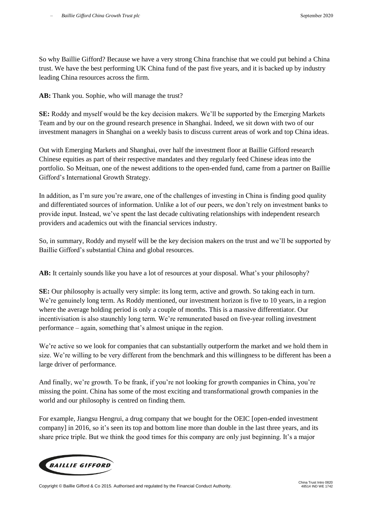So why Baillie Gifford? Because we have a very strong China franchise that we could put behind a China trust. We have the best performing UK China fund of the past five years, and it is backed up by industry leading China resources across the firm.

AB: Thank you. Sophie, who will manage the trust?

**SE:** Roddy and myself would be the key decision makers. We'll be supported by the Emerging Markets Team and by our on the ground research presence in Shanghai. Indeed, we sit down with two of our investment managers in Shanghai on a weekly basis to discuss current areas of work and top China ideas.

Out with Emerging Markets and Shanghai, over half the investment floor at Baillie Gifford research Chinese equities as part of their respective mandates and they regularly feed Chinese ideas into the portfolio. So Meituan, one of the newest additions to the open-ended fund, came from a partner on Baillie Gifford's International Growth Strategy.

In addition, as I'm sure you're aware, one of the challenges of investing in China is finding good quality and differentiated sources of information. Unlike a lot of our peers, we don't rely on investment banks to provide input. Instead, we've spent the last decade cultivating relationships with independent research providers and academics out with the financial services industry.

So, in summary, Roddy and myself will be the key decision makers on the trust and we'll be supported by Baillie Gifford's substantial China and global resources.

**AB:** It certainly sounds like you have a lot of resources at your disposal. What's your philosophy?

**SE:** Our philosophy is actually very simple: its long term, active and growth. So taking each in turn. We're genuinely long term. As Roddy mentioned, our investment horizon is five to 10 years, in a region where the average holding period is only a couple of months. This is a massive differentiator. Our incentivisation is also staunchly long term. We're remunerated based on five-year rolling investment performance – again, something that's almost unique in the region.

We're active so we look for companies that can substantially outperform the market and we hold them in size. We're willing to be very different from the benchmark and this willingness to be different has been a large driver of performance.

And finally, we're growth. To be frank, if you're not looking for growth companies in China, you're missing the point. China has some of the most exciting and transformational growth companies in the world and our philosophy is centred on finding them.

For example, Jiangsu Hengrui, a drug company that we bought for the OEIC [open-ended investment company] in 2016, so it's seen its top and bottom line more than double in the last three years, and its share price triple. But we think the good times for this company are only just beginning. It's a major



Copyright © Baillie Gifford & Co 2015. Authorised and regulated by the Financial Conduct Authority.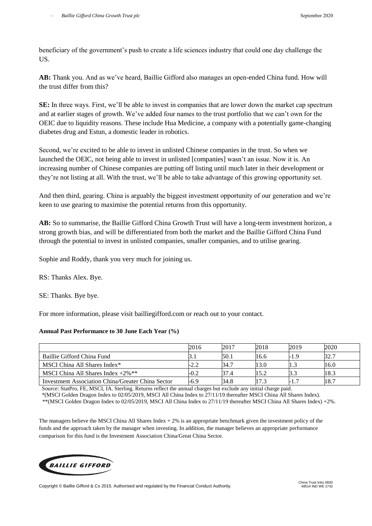beneficiary of the government's push to create a life sciences industry that could one day challenge the US.

**AB:** Thank you. And as we've heard, Baillie Gifford also manages an open-ended China fund. How will the trust differ from this?

**SE:** In three ways. First, we'll be able to invest in companies that are lower down the market cap spectrum and at earlier stages of growth. We've added four names to the trust portfolio that we can't own for the OEIC due to liquidity reasons. These include Hua Medicine, a company with a potentially game-changing diabetes drug and Estun, a domestic leader in robotics.

Second, we're excited to be able to invest in unlisted Chinese companies in the trust. So when we launched the OEIC, not being able to invest in unlisted [companies] wasn't an issue. Now it is. An increasing number of Chinese companies are putting off listing until much later in their development or they're not listing at all. With the trust, we'll be able to take advantage of this growing opportunity set.

And then third, gearing. China is arguably the biggest investment opportunity of our generation and we're keen to use gearing to maximise the potential returns from this opportunity.

**AB:** So to summarise, the Baillie Gifford China Growth Trust will have a long-term investment horizon, a strong growth bias, and will be differentiated from both the market and the Baillie Gifford China Fund through the potential to invest in unlisted companies, smaller companies, and to utilise gearing.

Sophie and Roddy, thank you very much for joining us.

RS: Thanks Alex. Bye.

SE: Thanks. Bye bye.

For more information, please visit bailliegifford.com or reach out to your contact.

## **Annual Past Performance to 30 June Each Year (%)**

|                                                   | 2016 | 2017 | 2018 | 2019                     | 2020 |
|---------------------------------------------------|------|------|------|--------------------------|------|
| Baillie Gifford China Fund                        |      | 50.1 | 16.6 | -1.9                     | 32.7 |
| MSCI China All Shares Index*                      | -2.2 | 34.7 | 13.0 |                          | 16.0 |
| MSCI China All Shares Index $+2\%$ <sup>**</sup>  | -0.2 | 37.4 | 15.2 |                          | 18.3 |
| Investment Association China/Greater China Sector | -6.9 | 34.8 | 17.3 | $\overline{\phantom{0}}$ | 18.7 |

Source: StatPro, FE, MSCI, IA. Sterling. Returns reflect the annual charges but exclude any initial charge paid.

 \*(MSCI Golden Dragon Index to 02/05/2019, MSCI All China Index to 27/11/19 thereafter MSCI China All Shares Index). \*\*(MSCI Golden Dragon Index to 02/05/2019, MSCI All China Index to 27/11/19 thereafter MSCI China All Shares Index) +2%.

The managers believe the MSCI China All Shares Index  $+2\%$  is an appropriate benchmark given the investment policy of the funds and the approach taken by the manager when investing. In addition, the manager believes an appropriate performance comparison for this fund is the Investment Association China/Great China Sector.